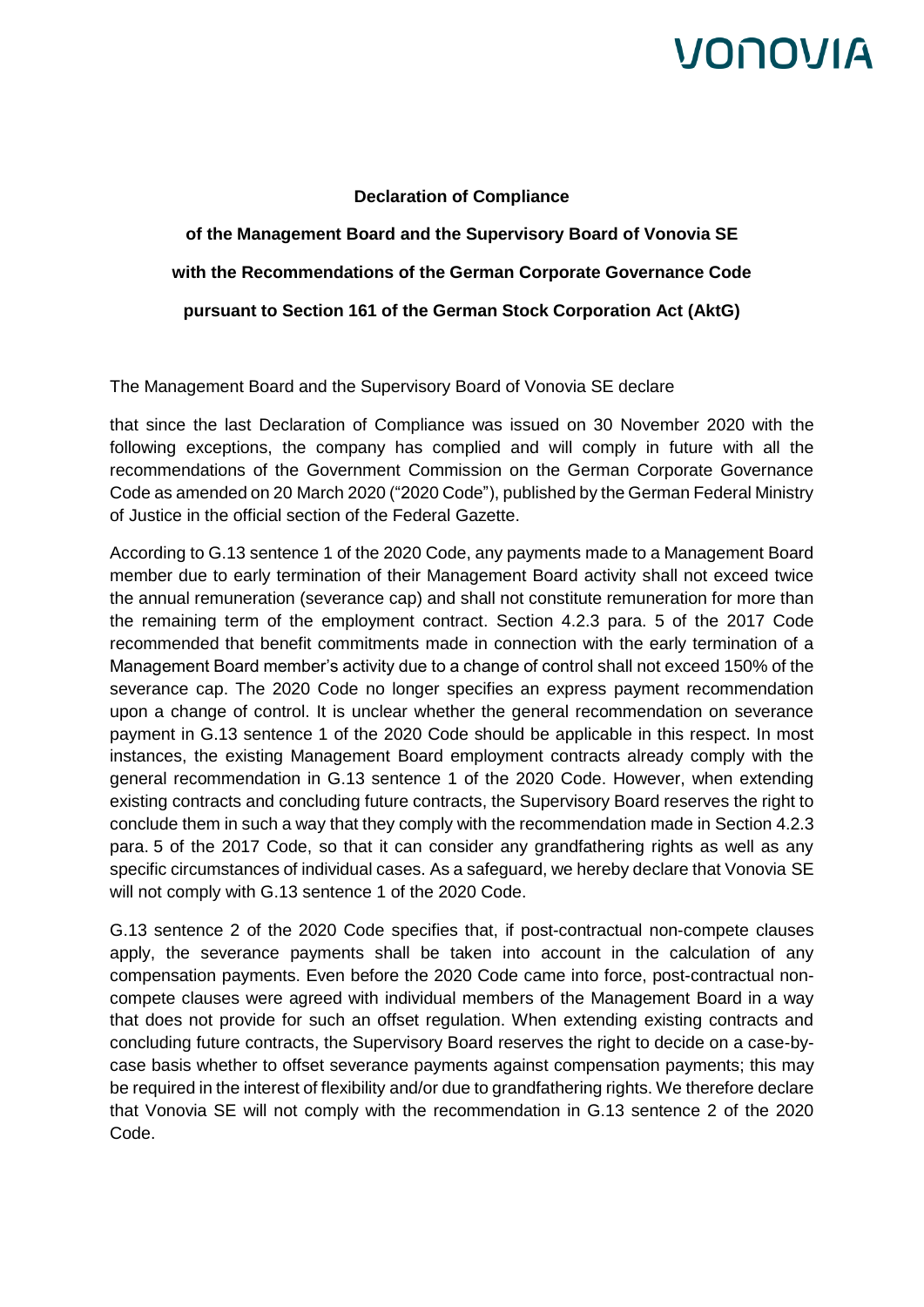## VONOVIA

## **Declaration of Compliance**

**of the Management Board and the Supervisory Board of Vonovia SE with the Recommendations of the German Corporate Governance Code pursuant to Section 161 of the German Stock Corporation Act (AktG)**

The Management Board and the Supervisory Board of Vonovia SE declare

that since the last Declaration of Compliance was issued on 30 November 2020 with the following exceptions, the company has complied and will comply in future with all the recommendations of the Government Commission on the German Corporate Governance Code as amended on 20 March 2020 ("2020 Code"), published by the German Federal Ministry of Justice in the official section of the Federal Gazette.

According to G.13 sentence 1 of the 2020 Code, any payments made to a Management Board member due to early termination of their Management Board activity shall not exceed twice the annual remuneration (severance cap) and shall not constitute remuneration for more than the remaining term of the employment contract. Section 4.2.3 para. 5 of the 2017 Code recommended that benefit commitments made in connection with the early termination of a Management Board member's activity due to a change of control shall not exceed 150% of the severance cap. The 2020 Code no longer specifies an express payment recommendation upon a change of control. It is unclear whether the general recommendation on severance payment in G.13 sentence 1 of the 2020 Code should be applicable in this respect. In most instances, the existing Management Board employment contracts already comply with the general recommendation in G.13 sentence 1 of the 2020 Code. However, when extending existing contracts and concluding future contracts, the Supervisory Board reserves the right to conclude them in such a way that they comply with the recommendation made in Section 4.2.3 para. 5 of the 2017 Code, so that it can consider any grandfathering rights as well as any specific circumstances of individual cases. As a safeguard, we hereby declare that Vonovia SE will not comply with G.13 sentence 1 of the 2020 Code.

G.13 sentence 2 of the 2020 Code specifies that, if post-contractual non-compete clauses apply, the severance payments shall be taken into account in the calculation of any compensation payments. Even before the 2020 Code came into force, post-contractual noncompete clauses were agreed with individual members of the Management Board in a way that does not provide for such an offset regulation. When extending existing contracts and concluding future contracts, the Supervisory Board reserves the right to decide on a case-bycase basis whether to offset severance payments against compensation payments; this may be required in the interest of flexibility and/or due to grandfathering rights. We therefore declare that Vonovia SE will not comply with the recommendation in G.13 sentence 2 of the 2020 Code.